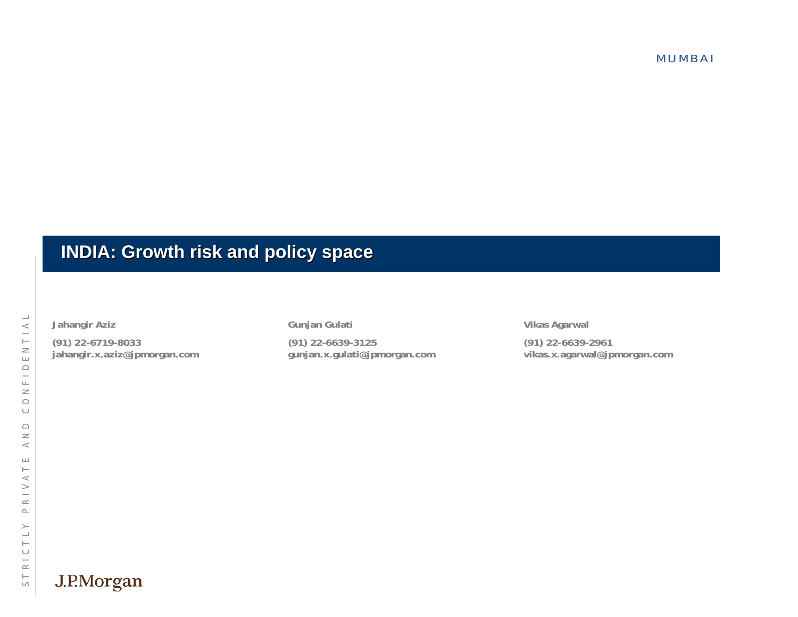MUMBAI

#### **INDIA: Growth risk and policy space INDIA: Growth risk and policy space**

 $\frac{d}{dx}$  Jahangir Aziz<br>
(91) 22-639-3125<br>  $\frac{d}{dx}$  Jahangir.x.aziz@jpmorgan.com<br>  $\frac{d}{dx}$  Jahangir.x.aziz@jpmorgan.com<br>  $\frac{d}{dx}$  Jahangir.x.aziz@jpmorgan.com<br>  $\frac{d}{dx}$  J<br>  $\frac{d}{dx}$ <br>  $\frac{d}{dx}$ <br>  $\frac{d}{dx}$ <br>  $\frac{d}{dx}$ <br>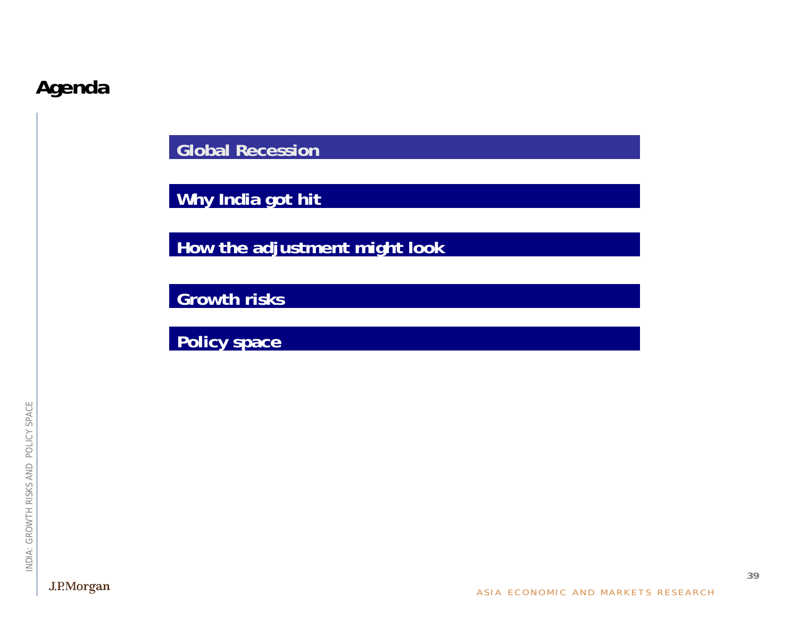# **Agenda**

**Global Recession**

**Why India got hit**

**How the adjustment might look**

**Growth risks**

**Policy space**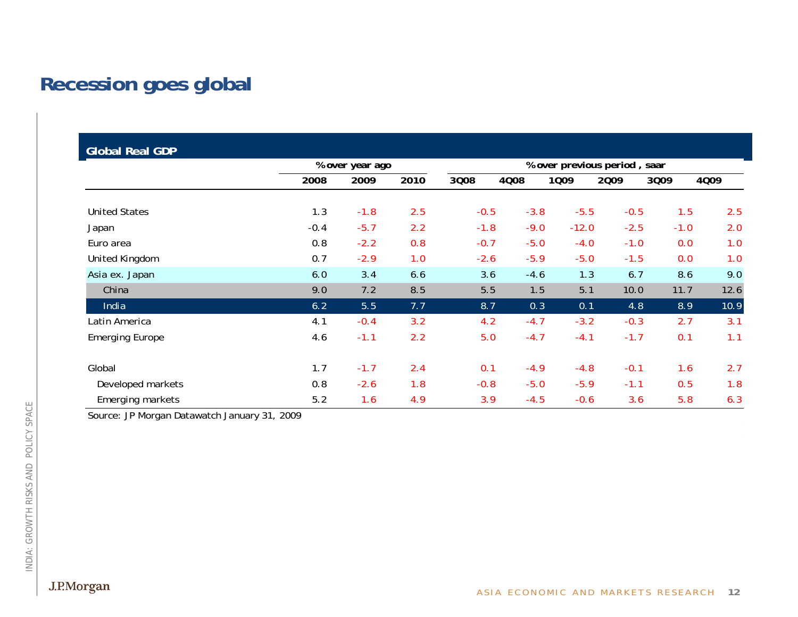# **Recession goes global**

| <b>Global Real GDP</b> |        |                 |      |        |                              |         |        |        |      |  |
|------------------------|--------|-----------------|------|--------|------------------------------|---------|--------|--------|------|--|
|                        |        | % over year ago |      |        | % over previous period, saar |         |        |        |      |  |
|                        | 2008   | 2009            | 2010 | 3008   | 4008                         | 1009    | 2009   | 3009   | 4009 |  |
|                        |        |                 |      |        |                              |         |        |        |      |  |
| <b>United States</b>   | 1.3    | $-1.8$          | 2.5  | $-0.5$ | $-3.8$                       | $-5.5$  | $-0.5$ | 1.5    | 2.5  |  |
| Japan                  | $-0.4$ | $-5.7$          | 2.2  | $-1.8$ | $-9.0$                       | $-12.0$ | $-2.5$ | $-1.0$ | 2.0  |  |
| Euro area              | 0.8    | $-2.2$          | 0.8  | $-0.7$ | $-5.0$                       | $-4.0$  | $-1.0$ | 0.0    | 1.0  |  |
| United Kingdom         | 0.7    | $-2.9$          | 1.0  | $-2.6$ | $-5.9$                       | $-5.0$  | $-1.5$ | 0.0    | 1.0  |  |
| Asia ex. Japan         | 6.0    | 3.4             | 6.6  | 3.6    | $-4.6$                       | 1.3     | 6.7    | 8.6    | 9.0  |  |
| China                  | 9.0    | 7.2             | 8.5  | 5.5    | 1.5                          | 5.1     | 10.0   | 11.7   | 12.6 |  |
| India                  | 6.2    | 5.5             | 7.7  | 8.7    | 0.3                          | 0.1     | 4.8    | 8.9    | 10.9 |  |
| Latin America          | 4.1    | $-0.4$          | 3.2  | 4.2    | $-4.7$                       | $-3.2$  | $-0.3$ | 2.7    | 3.1  |  |
| <b>Emerging Europe</b> | 4.6    | $-1.1$          | 2.2  | 5.0    | $-4.7$                       | $-4.1$  | $-1.7$ | 0.1    | 1.1  |  |
| Global                 | 1.7    | $-1.7$          | 2.4  | 0.1    | $-4.9$                       | $-4.8$  | $-0.1$ | 1.6    | 2.7  |  |
| Developed markets      | 0.8    | $-2.6$          | 1.8  | $-0.8$ | $-5.0$                       | $-5.9$  | $-1.1$ | 0.5    | 1.8  |  |
| Emerging markets       | 5.2    | 1.6             | 4.9  | 3.9    | $-4.5$                       | $-0.6$  | 3.6    | 5.8    | 6.3  |  |

Source: JP Morgan Datawatch January 31, 2009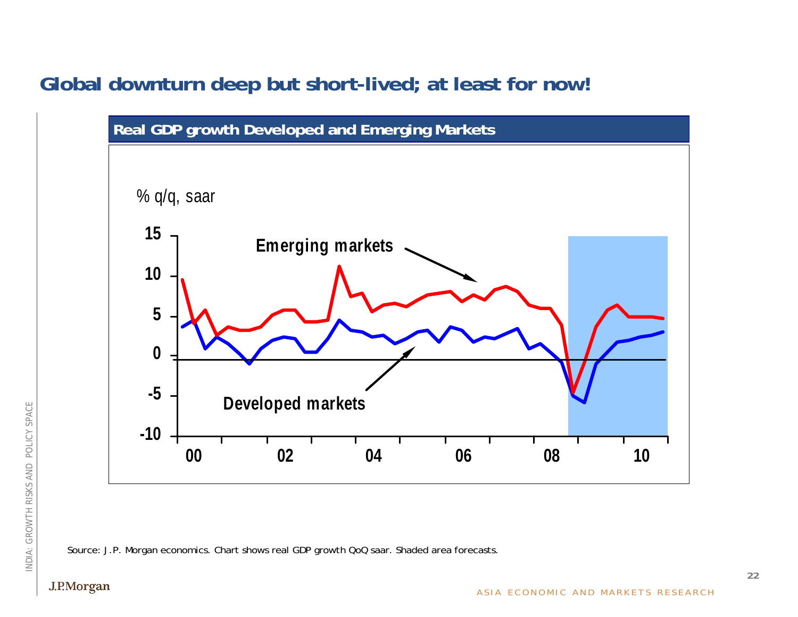## **Global downturn deep but short-lived; at least for now!**



Source: J.P. Morgan economics. Chart shows real GDP growth QoQ saar. Shaded area forecasts.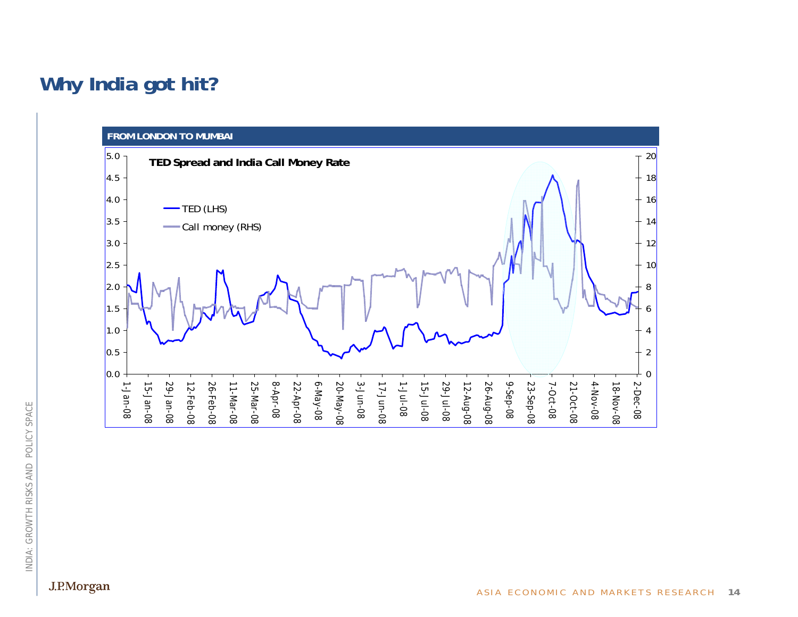# **Why India got hit?**

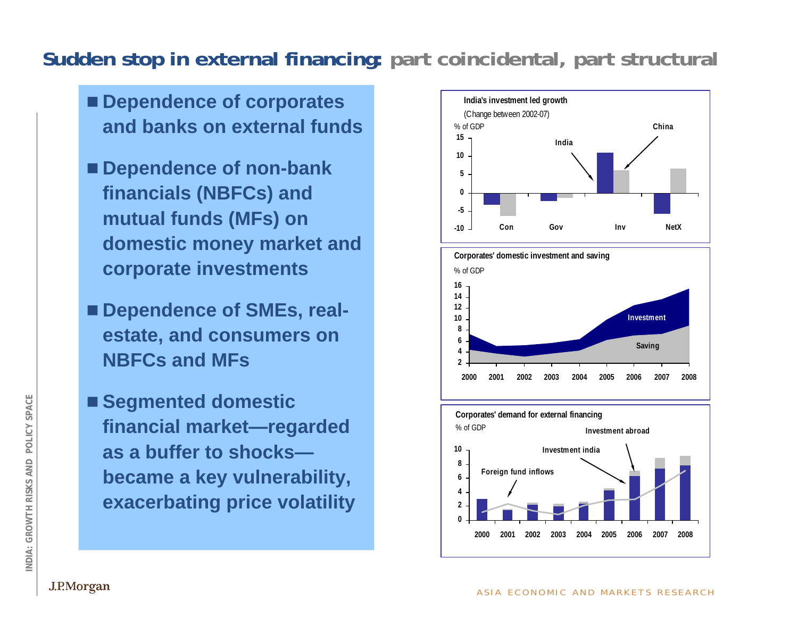# **Sudden stop in external financing: part coincidental, part structural**

- Dependence of corporates **and banks on external funds**
- Dependence of non-bank **financials (NBFCs) and mutual funds (MFs) on domestic money market and corporate investments**
- Dependence of SMEs, real**estate, and consumers on NBFCs and MFs**
- Segmented domestic **financial market—regarded as a buffer to shocksbecame a key vulnerability, exacerbating price volatility**





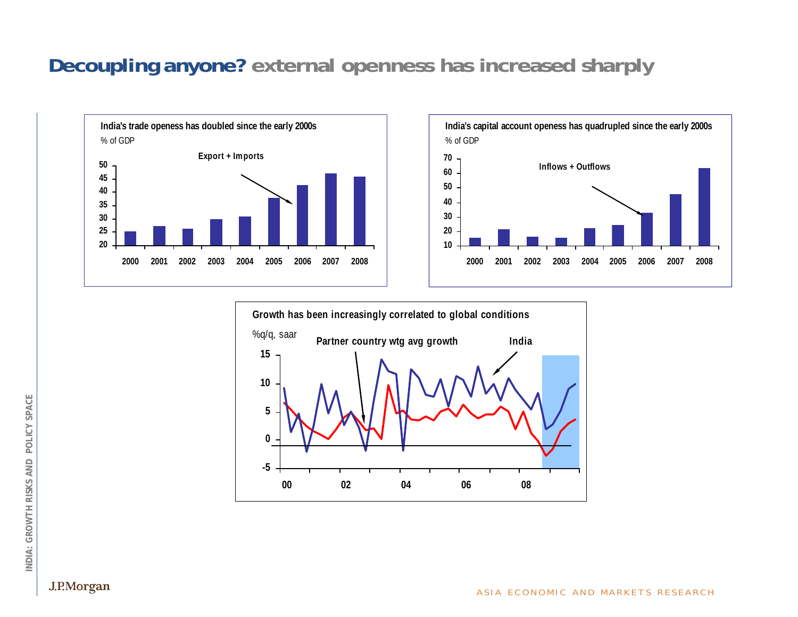## **Decoupling anyone? external openness has increased sharply**





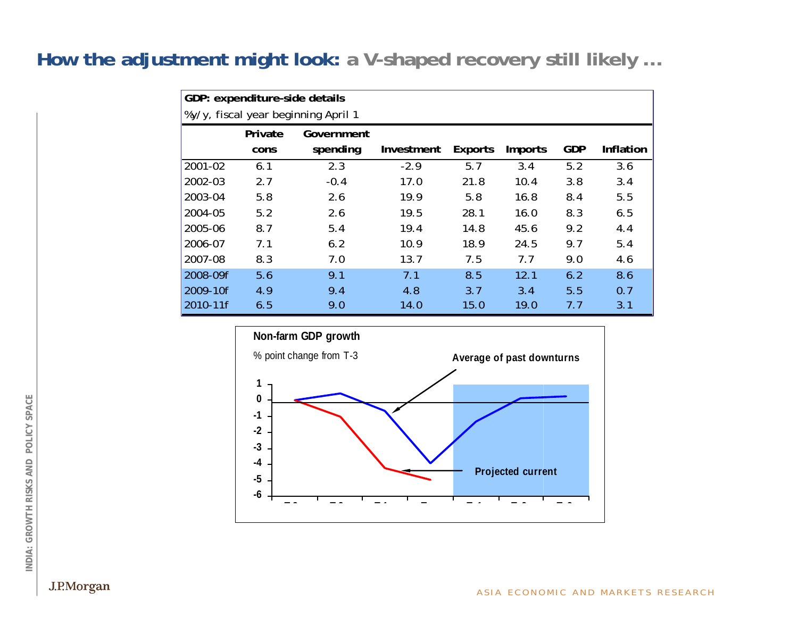#### **How the adjustment might look: a V-shaped recovery still likely …**

| GDP: expenditure-side details       |                 |                        |            |                |                |            |           |  |  |  |  |
|-------------------------------------|-----------------|------------------------|------------|----------------|----------------|------------|-----------|--|--|--|--|
| %y/y, fiscal year beginning April 1 |                 |                        |            |                |                |            |           |  |  |  |  |
|                                     | Private<br>cons | Government<br>spending | Investment | <b>Exports</b> | <b>Imports</b> | <b>GDP</b> | Inflation |  |  |  |  |
| 2001-02                             | 6.1             | 2.3                    | $-2.9$     | 5.7            | 3.4            | 5.2        | 3.6       |  |  |  |  |
| 2002-03                             | 2.7             | $-0.4$                 | 17.0       | 21.8           | 10.4           | 3.8        | 3.4       |  |  |  |  |
| 2003-04                             | 5.8             | 2.6                    | 19.9       | 5.8            | 16.8           | 8.4        | 5.5       |  |  |  |  |
| 2004-05                             | 5.2             | 2.6                    | 19.5       | 28.1           | 16.0           | 8.3        | 6.5       |  |  |  |  |
| 2005-06                             | 8.7             | 5.4                    | 19.4       | 14.8           | 45.6           | 9.2        | 4.4       |  |  |  |  |
| 2006-07                             | 7.1             | 6.2                    | 10.9       | 18.9           | 24.5           | 9.7        | 5.4       |  |  |  |  |
| 2007-08                             | 8.3             | 7.0                    | 13.7       | 7.5            | 7.7            | 9.0        | 4.6       |  |  |  |  |
| 2008-09f                            | 5.6             | 9.1                    | 7.1        | 8.5            | 12.1           | 6.2        | 8.6       |  |  |  |  |
| 2009-10f                            | 4.9             | 9.4                    | 4.8        | 3.7            | 3.4            | 5.5        | 0.7       |  |  |  |  |
| 2010-11f                            | 6.5             | 9.0                    | 14.0       | 15.0           | 19.0           | 7.7        | 3.1       |  |  |  |  |



J.P.Morgan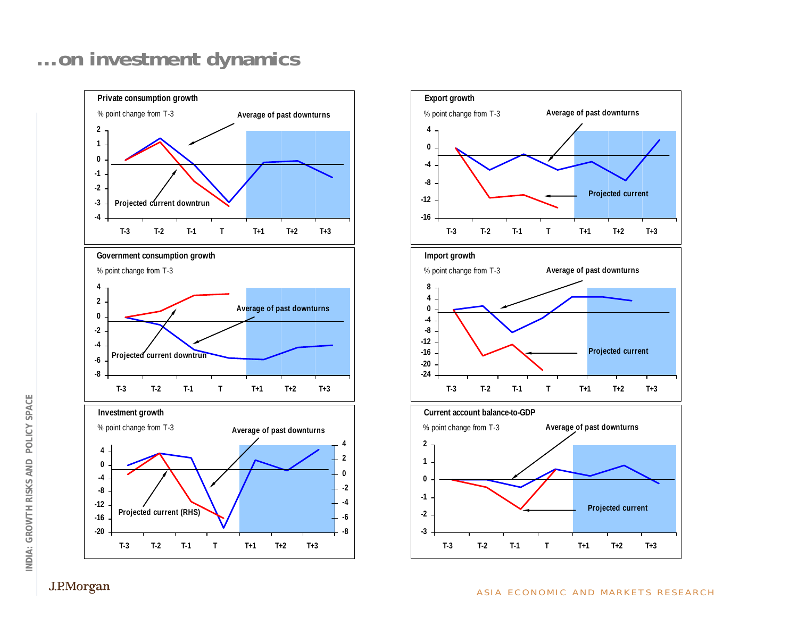# **… on investment dynamics**





INDIA: GROWTH RISKS AND POLICY SPACE **INDIA: GROWTH RISKS AND POLICY SPACE**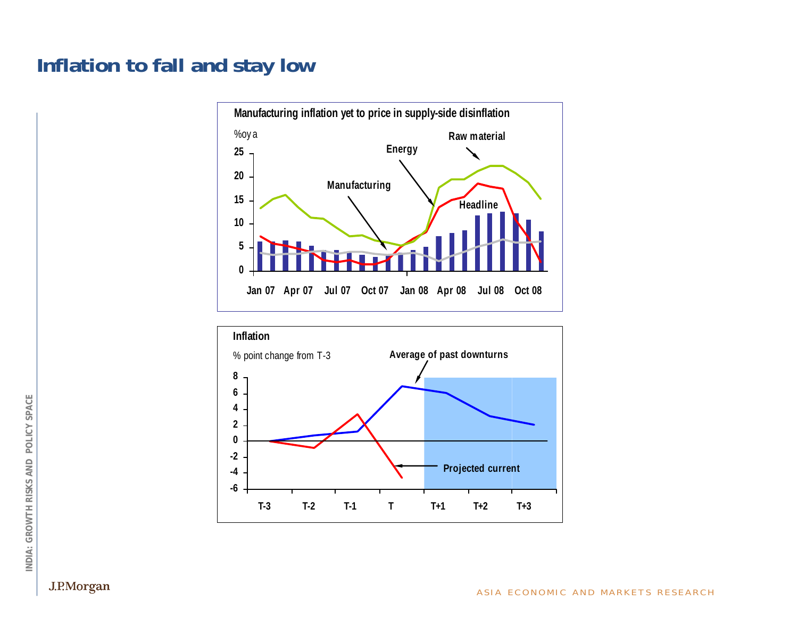## **Inflation to fall and stay low**





J.P.Morgan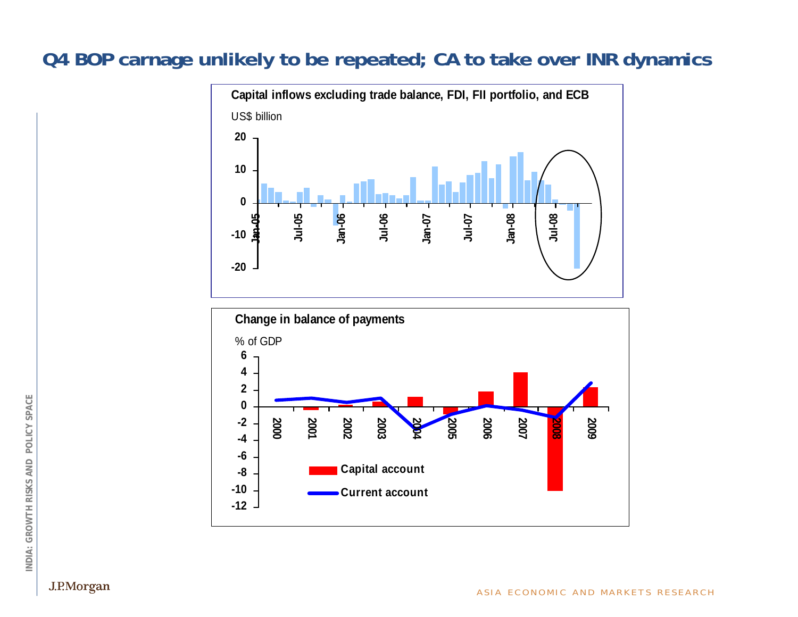#### **Q4 BOP carnage unlikely to be repeated; CA to take over INR dynamics**





J.P.Morgan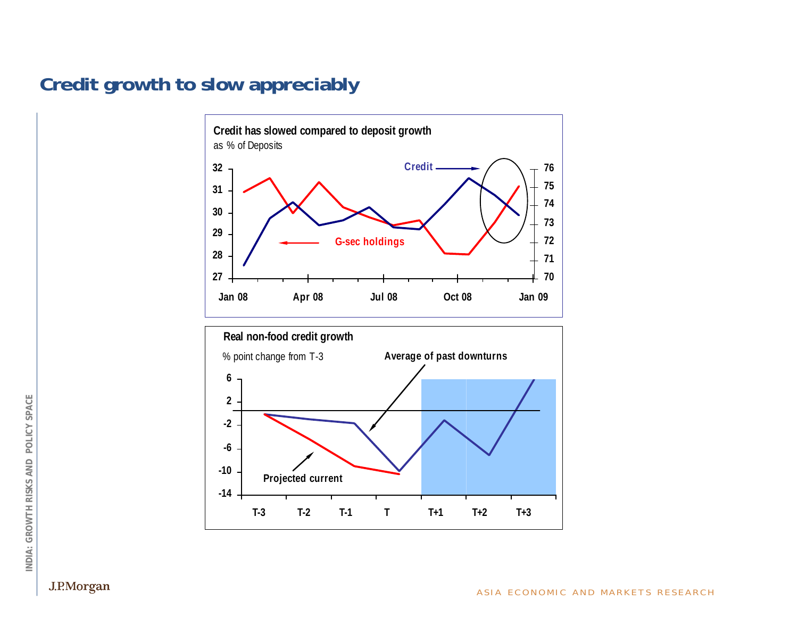#### **Credit growth to slow appreciably**





INDIA: GROWTH RISKS AND POLICY SPACE **INDIA: GROWTH RISKS AND POLICY SPACE**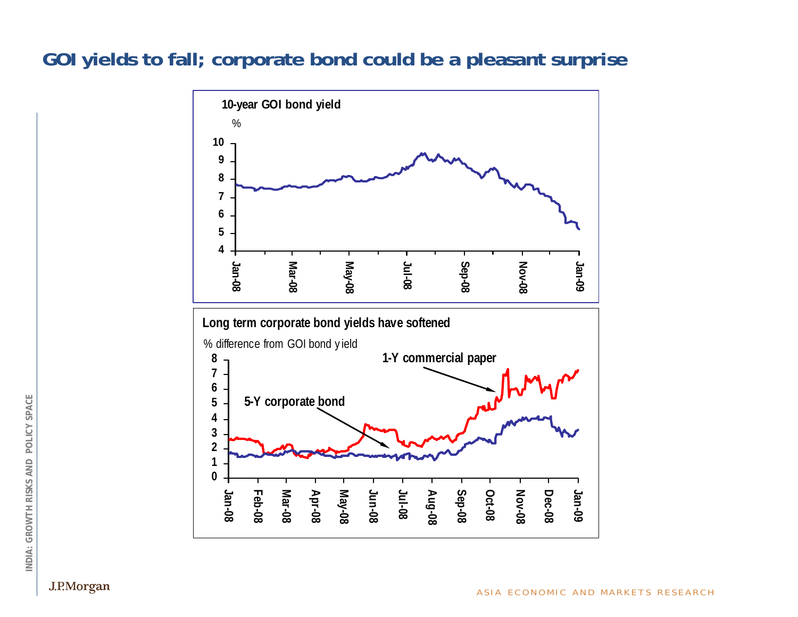#### **GOI yields to fall; corporate bond could be a pleasant surprise**



J.P.Morgan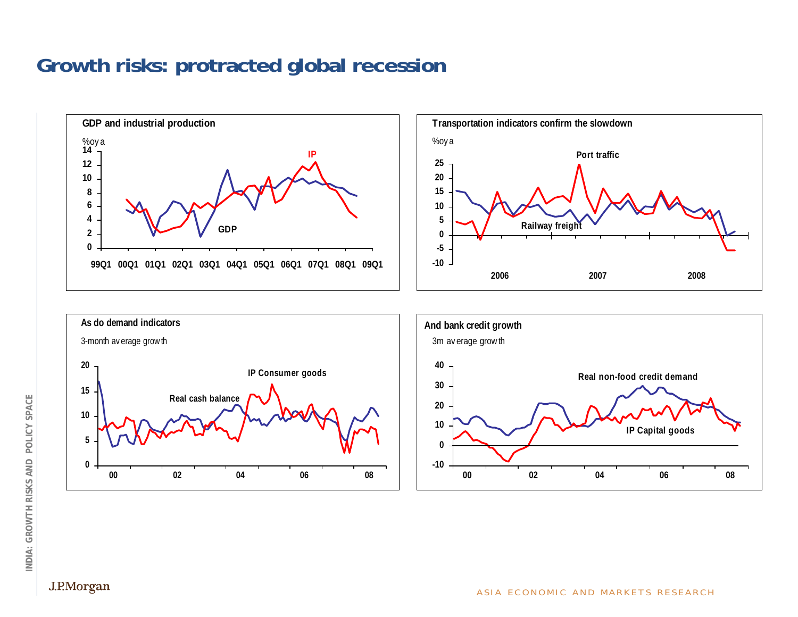## **Growth risks: protracted global recession**

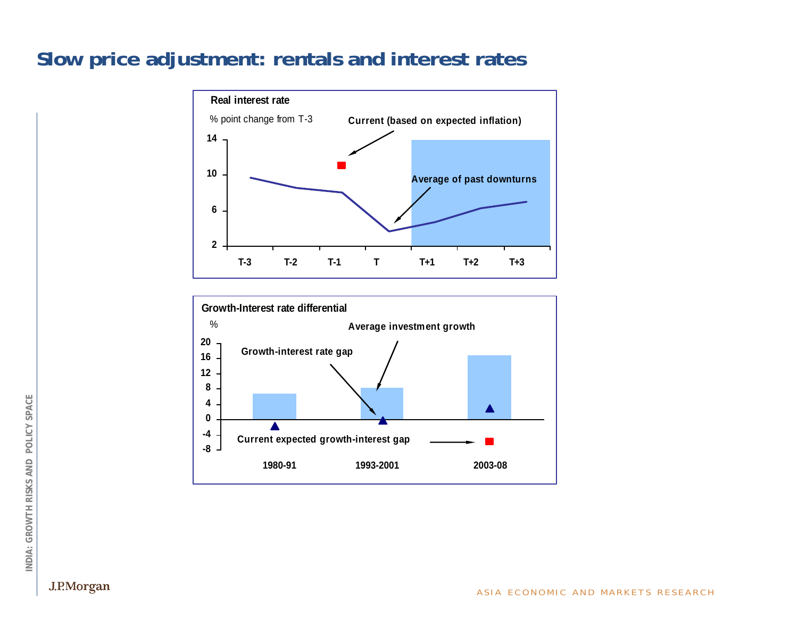#### **Slow price adjustment: rentals and interest rates**



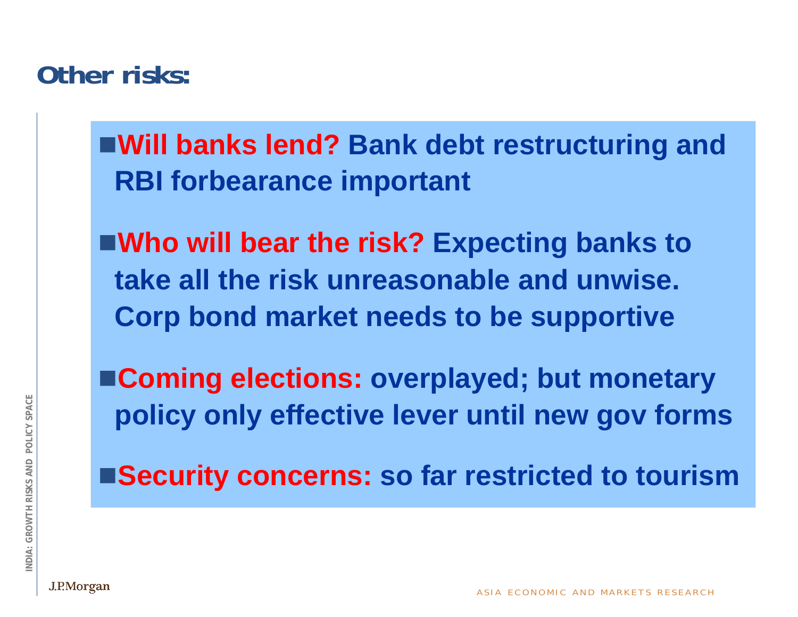# **Other risks:**

**Will banks lend? Bank debt restructuring and RBI forbearance important**

**Who will bear the risk? Expecting banks to take all the risk unreasonable and unwise. Corp bond market needs to be supportive**

**Coming elections: overplayed; but monetary policy only effective lever until new gov forms**

**Security concerns: so far restricted to tourism**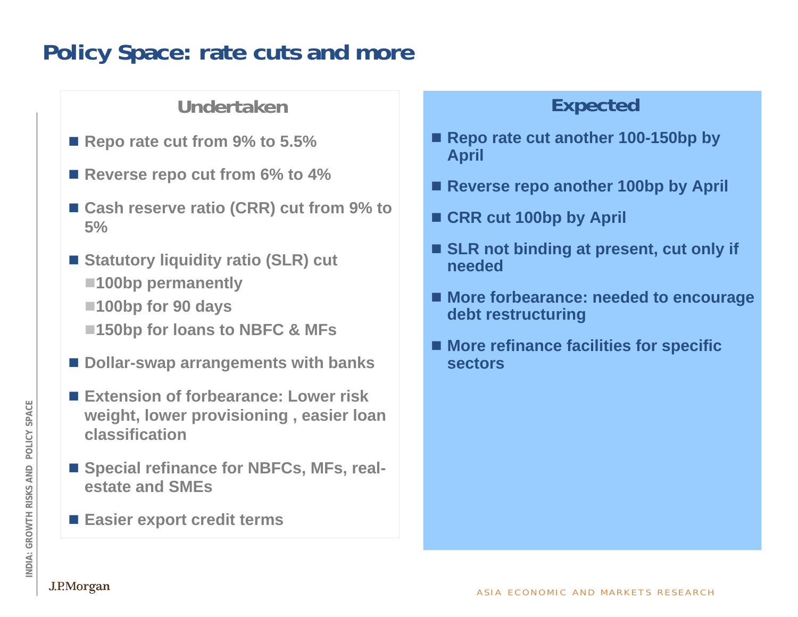# **Policy Space: rate cuts and more**

#### **Undertaken**

- Repo rate cut from 9% to 5.5%
- Reverse repo cut from 6% to 4%
- Cash reserve ratio (CRR) cut from 9% to **5%**
- Statutory liquidity ratio (SLR) cut **100bp permanently**
	- **100bp for 90 days**
	- ■150bp for loans to NBFC & MFs
- Dollar-swap arrangements with banks
- Extension of forbearance: Lower risk **weight, lower provisioning , easier loan classification**
- Special refinance for NBFCs, MFs, real**estate and SMEs**
- **Easier export credit terms**

#### **Expected**

- Repo rate cut another 100-150bp by **April**
- Reverse repo another 100bp by April
- CRR cut 100bp by April
- SLR not binding at present, cut only if **needed**
- More forbearance: needed to encourage **debt restructuring**
- **More refinance facilities for specific sectors**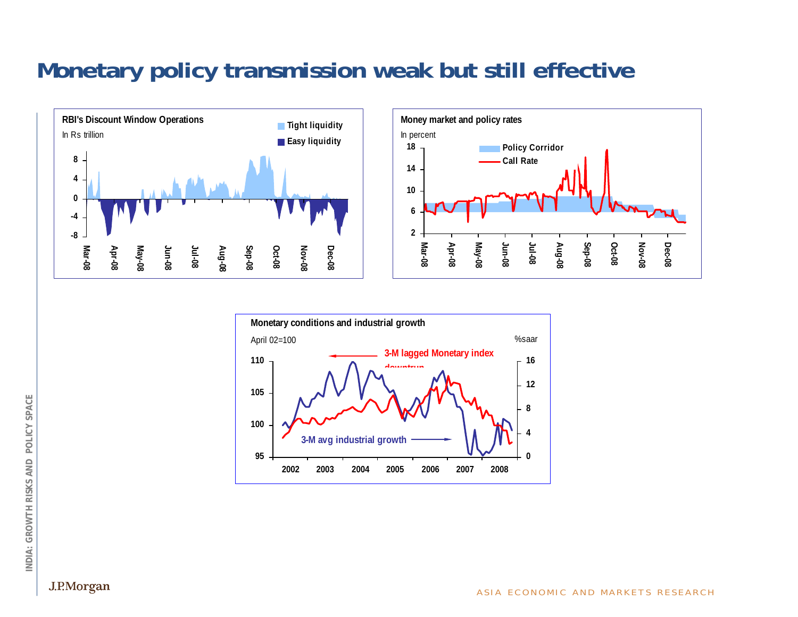# **Monetary policy transmission weak but still effective**





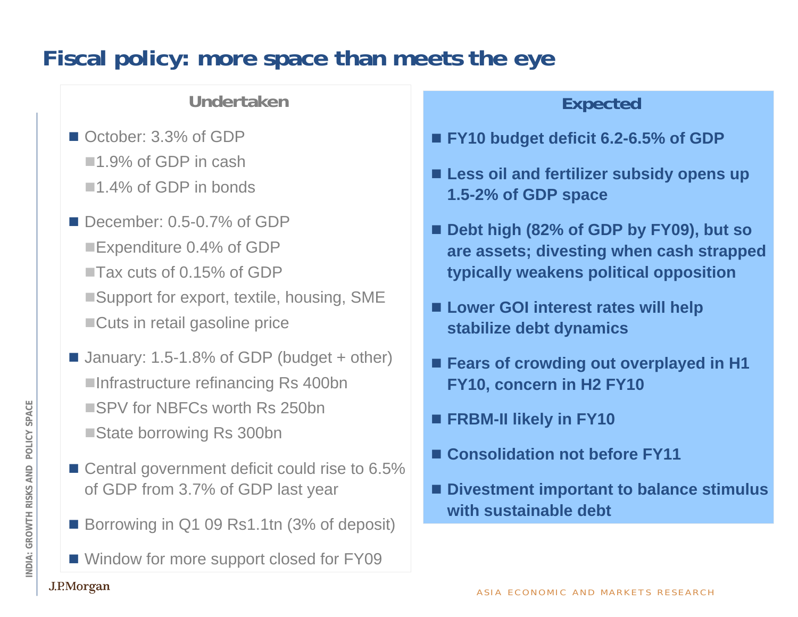# **Fiscal policy: more space than meets the eye**

#### **Undertaken**

- October: 3.3% of GDP ■1.9% of GDP in cash ■1.4% of GDP in bonds
- December: 0.5-0.7% of GDP ■Expenditure 0.4% of GDP ■Tax cuts of 0.15% of GDP ■Support for export, textile, housing, SME ■Cuts in retail gasoline price
- January: 1.5-1.8% of GDP (budget + other) ■Infrastructure refinancing Rs 400bn ■SPV for NBFCs worth Rs 250bn ■State borrowing Rs 300bn
- Central government deficit could rise to 6.5% of GDP from 3.7% of GDP last year
- Borrowing in Q1 09 Rs1.1tn (3% of deposit)
- Window for more support closed for FY09

#### **Expected**

- **FY10 budget deficit 6.2-6.5% of GDP**
- Less oil and fertilizer subsidy opens up **1.5-2% of GDP space**
- **Debt high (82% of GDP by FY09), but so are assets; divesting when cash strapped typically weakens political opposition**
- Lower GOI interest rates will help **stabilize debt dynamics**
- Fears of crowding out overplayed in **H1 FY10, concern in H2 FY10**
- **FRBM-II likely in FY10**
- Consolidation not before **FY11**
- Divestment important to balance stimulus **with sustainable debt**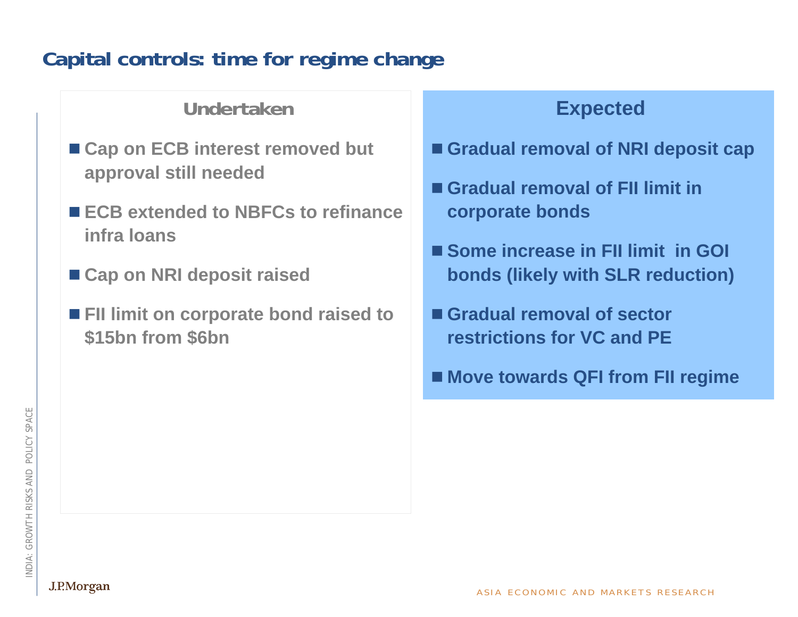# **Capital controls: time for regime change**

#### **Undertaken**

- Cap on ECB interest removed but **approval still needed**
- ECB extended to NBFCs to refinance **infra loans**
- Cap on NRI deposit raised
- FII limit on corporate bond raised to **\$15bn from \$6bn**

## **Expected**

- **Gradual removal of NRI deposit cap**
- **Gradual removal of FII limit in corporate bonds**
- Some increase in FII limit in GOI **bonds (likely with SLR reduction)**
- **Gradual removal of sector restrictions for VC and PE**
- **Move towards QFI from FII regime**